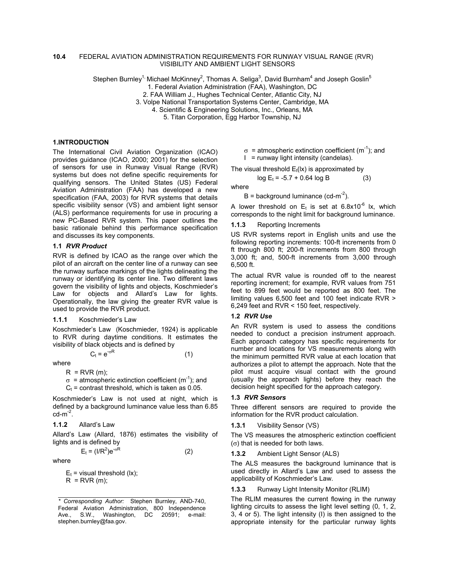### **10.4** FEDERAL AVIATION ADMINISTRATION REQUIREMENTS FOR RUNWAY VISUAL RANGE (RVR) VISIBILITY AND AMBIENT LIGHT SENSORS

Stephen Burnley<sup>1,</sup> Michael McKinney<sup>2</sup>, Thomas A. Seliga<sup>3</sup>, David Burnham<sup>4</sup> and Joseph Goslin<sup>5</sup>

1. Federal Aviation Administration (FAA), Washington, DC

2. FAA William J., Hughes Technical Center, Atlantic City, NJ

3. Volpe National Transportation Systems Center, Cambridge, MA

4. Scientific & Engineering Solutions, Inc., Orleans, MA

5. Titan Corporation, Egg Harbor Township, NJ

### **1.INTRODUCTION**

The International Civil Aviation Organization (ICAO) provides guidance (ICAO, 2000; 2001) for the selection of sensors for use in Runway Visual Range (RVR) systems but does not define specific requirements for qualifying sensors. The United States (US) Federal Aviation Administration (FAA) has developed a new specification (FAA, 2003) for RVR systems that details specific visibility sensor (VS) and ambient light sensor (ALS) performance requirements for use in procuring a new PC-Based RVR system. This paper outlines the basic rationale behind this performance specification and discusses its key components.

### **1.1** *RVR Product*

RVR is defined by ICAO as the range over which the pilot of an aircraft on the center line of a runway can see the runway surface markings of the lights delineating the runway or identifying its center line. Two different laws govern the visibility of lights and objects, Koschmieder's Law for objects and Allard's Law for lights. Operationally, the law giving the greater RVR value is used to provide the RVR product.

#### **1.1.1** Koschmieder's Law

Koschmieder's Law (Koschmieder, 1924) is applicable to RVR during daytime conditions. It estimates the visibility of black objects and is defined by

$$
C_t = e^{-\sigma R} \tag{1}
$$

where

 $R = RVR$  (m);

$$
\sigma
$$
 = atmospheric extinction coefficient (m<sup>-1</sup>); and

 $C_t$  = contrast threshold, which is taken as 0.05.

Koschmieder's Law is not used at night, which is defined by a background luminance value less than 6.85  $cd-m^{-2}$ .

**1.1.2** Allard's Law

Allard's Law (Allard, 1876) estimates the visibility of lights and is defined by

$$
E_t = (I/R^2)e^{-\sigma R}
$$
 (2)

where

 $E_t$  = visual threshold (lx);  $R = RVR(m);$ 

 $\sigma$  = atmospheric extinction coefficient (m<sup>-1</sup>); and  $I =$  runway light intensity (candelas).

The visual threshold  $E_t$ ( $|x$ ) is approximated by

$$
log E_t = -5.7 + 0.64 log B \tag{3}
$$

where

 $B =$  background luminance (cd-m<sup>-2</sup>).

A lower threshold on  $E_t$  is set at 6.8x10<sup>-6</sup> lx, which corresponds to the night limit for background luminance.

#### **1.1.3** Reporting Increments

US RVR systems report in English units and use the following reporting increments: 100-ft increments from 0 ft through 800 ft; 200-ft increments from 800 through 3,000 ft; and, 500-ft increments from 3,000 through 6,500 ft.

The actual RVR value is rounded off to the nearest reporting increment; for example, RVR values from 751 feet to 899 feet would be reported as 800 feet. The limiting values 6,500 feet and 100 feet indicate RVR > 6,249 feet and RVR < 150 feet, respectively.

### **1.2** *RVR Use*

An RVR system is used to assess the conditions needed to conduct a precision instrument approach. Each approach category has specific requirements for number and locations for VS measurements along with the minimum permitted RVR value at each location that authorizes a pilot to attempt the approach. Note that the pilot must acquire visual contact with the ground (usually the approach lights) before they reach the decision height specified for the approach category.

### **1.3** *RVR Sensors*

Three different sensors are required to provide the information for the RVR product calculation.

**1.3.1** Visibility Sensor (VS)

The VS measures the atmospheric extinction coefficient (σ) that is needed for both laws.

**1.3.2** Ambient Light Sensor (ALS)

The ALS measures the background luminance that is used directly in Allard's Law and used to assess the applicability of Koschmieder's Law.

**1.3.3** Runway Light Intensity Monitor (RLIM)

The RLIM measures the current flowing in the runway lighting circuits to assess the light level setting (0, 1, 2, 3, 4 or 5). The light intensity (I) is then assigned to the appropriate intensity for the particular runway lights

*<sup>\*</sup> Corresponding Author:* Stephen Burnley, AND-740, Federal Aviation Administration, 800 Independence Ave., S.W., Washington, DC 20591; e-mail: stephen.burnley@faa.gov.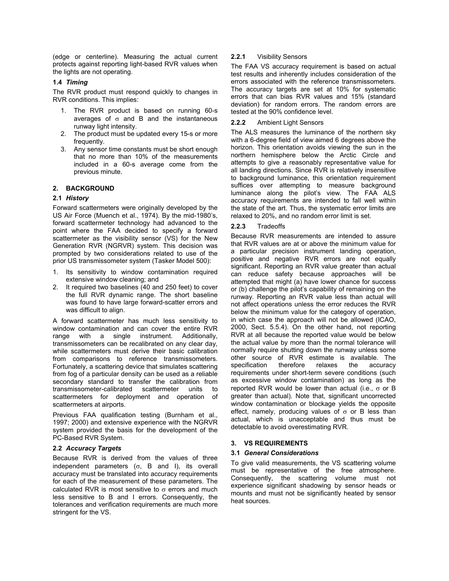(edge or centerline). Measuring the actual current protects against reporting light-based RVR values when the lights are not operating.

# **1.4** *Timing*

The RVR product must respond quickly to changes in RVR conditions. This implies:

- 1. The RVR product is based on running 60-s averages of  $σ$  and B and the instantaneous runway light intensity.
- 2. The product must be updated every 15-s or more frequently.
- 3. Any sensor time constants must be short enough that no more than 10% of the measurements included in a 60-s average come from the previous minute.

### **2. BACKGROUND**

### **2.1** *History*

Forward scattermeters were originally developed by the US Air Force (Muench et al., 1974). By the mid-1980's, forward scattermeter technology had advanced to the point where the FAA decided to specify a forward scattermeter as the visibility sensor (VS) for the New Generation RVR (NGRVR) system. This decision was prompted by two considerations related to use of the prior US transmissometer system (Tasker Model 500):

- 1. Its sensitivity to window contamination required extensive window cleaning; and
- 2. It required two baselines (40 and 250 feet) to cover the full RVR dynamic range. The short baseline was found to have large forward-scatter errors and was difficult to align.

A forward scattermeter has much less sensitivity to window contamination and can cover the entire RVR range with a single instrument. Additionally, transmissometers can be recalibrated on any clear day, while scattermeters must derive their basic calibration from comparisons to reference transmissometers. Fortunately, a scattering device that simulates scattering from fog of a particular density can be used as a reliable secondary standard to transfer the calibration from transmissometer-calibrated scattermeter units to scattermeters for deployment and operation of scattermeters at airports.

Previous FAA qualification testing (Burnham et al., 1997; 2000) and extensive experience with the NGRVR system provided the basis for the development of the PC-Based RVR System.

### **2.2** *Accuracy Targets*

Because RVR is derived from the values of three independent parameters ( $\sigma$ , B and I), its overall accuracy must be translated into accuracy requirements for each of the measurement of these parameters. The calculated RVR is most sensitive to  $\sigma$  errors and much less sensitive to B and I errors. Consequently, the tolerances and verification requirements are much more stringent for the VS.

#### **2.2.1**  Visibility Sensors

The FAA VS accuracy requirement is based on actual test results and inherently includes consideration of the errors associated with the reference transmissometers. The accuracy targets are set at 10% for systematic errors that can bias RVR values and 15% (standard deviation) for random errors. The random errors are tested at the 90% confidence level.

#### **2.2.2**  Ambient Light Sensors

The ALS measures the luminance of the northern sky with a 6-degree field of view aimed 6 degrees above the horizon. This orientation avoids viewing the sun in the northern hemisphere below the Arctic Circle and attempts to give a reasonably representative value for all landing directions. Since RVR is relatively insensitive to background luminance, this orientation requirement suffices over attempting to measure background luminance along the pilot's view. The FAA ALS accuracy requirements are intended to fall well within the state of the art. Thus, the systematic error limits are relaxed to 20%, and no random error limit is set.

#### **2.2.3 Tradeoffs**

Because RVR measurements are intended to assure that RVR values are at or above the minimum value for a particular precision instrument landing operation, positive and negative RVR errors are not equally significant. Reporting an RVR value greater than actual can reduce safety because approaches will be attempted that might (a) have lower chance for success or (b) challenge the pilot's capability of remaining on the runway. Reporting an RVR value less than actual will not affect operations unless the error reduces the RVR below the minimum value for the category of operation, in which case the approach will not be allowed (ICAO, 2000, Sect. 5.5.4). On the other hand, not reporting RVR at all because the reported value would be below the actual value by more than the normal tolerance will normally require shutting down the runway unless some other source of RVR estimate is available. The specification therefore relaxes the accuracy requirements under short-term severe conditions (such as excessive window contamination) as long as the reported RVR would be lower than actual (i.e., σ or B greater than actual). Note that, significant uncorrected window contamination or blockage yields the opposite effect, namely, producing values of  $\sigma$  or B less than actual, which is unacceptable and thus must be detectable to avoid overestimating RVR.

### **3. VS REQUIREMENTS**

### **3.1** *General Considerations*

To give valid measurements, the VS scattering volume must be representative of the free atmosphere. Consequently, the scattering volume must not experience significant shadowing by sensor heads or mounts and must not be significantly heated by sensor heat sources.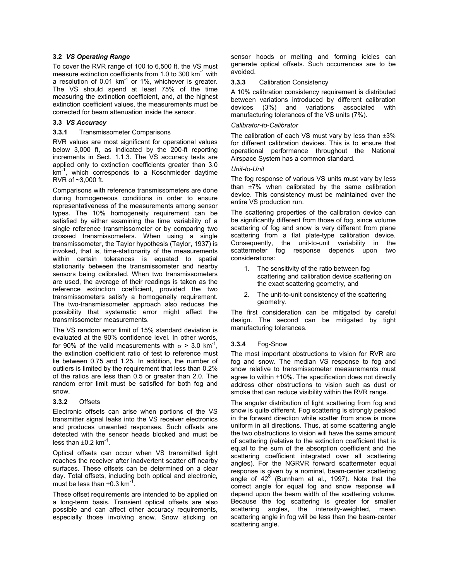# **3.2** *VS Operating Range*

To cover the RVR range of 100 to 6,500 ft, the VS must measure extinction coefficients from 1.0 to 300 km<sup>-1</sup> with a resolution of  $0.01 \text{ km}^{-1}$  or  $1\%$ , whichever is greater. The VS should spend at least 75% of the time measuring the extinction coefficient, and, at the highest extinction coefficient values, the measurements must be corrected for beam attenuation inside the sensor.

## **3.3** *VS Accuracy*

#### **3.3.1**  Transmissometer Comparisons

RVR values are most significant for operational values below 3,000 ft, as indicated by the 200-ft reporting increments in Sect. 1.1.3. The VS accuracy tests are applied only to extinction coefficients greater than 3.0  $km^{-1}$ , which corresponds to a Koschmieder daytime RVR of ~3,000 ft.

Comparisons with reference transmissometers are done during homogeneous conditions in order to ensure representativeness of the measurements among sensor types. The 10% homogeneity requirement can be satisfied by either examining the time variability of a single reference transmissometer or by comparing two crossed transmissometers. When using a single transmissometer, the Taylor hypothesis (Taylor, 1937) is invoked, that is, time-stationarity of the measurements within certain tolerances is equated to spatial stationarity between the transmissometer and nearby sensors being calibrated. When two transmissometers are used, the average of their readings is taken as the reference extinction coefficient, provided the two transmissometers satisfy a homogeneity requirement. The two-transmissometer approach also reduces the possibility that systematic error might affect the transmissometer measurements.

The VS random error limit of 15% standard deviation is evaluated at the 90% confidence level. In other words, for 90% of the valid measurements with  $\sigma > 3.0$  km<sup>-1</sup>, the extinction coefficient ratio of test to reference must lie between 0.75 and 1.25. In addition, the number of outliers is limited by the requirement that less than 0.2% of the ratios are less than 0.5 or greater than 2.0. The random error limit must be satisfied for both fog and snow.

#### **3.3.2**  Offsets

Electronic offsets can arise when portions of the VS transmitter signal leaks into the VS receiver electronics and produces unwanted responses. Such offsets are detected with the sensor heads blocked and must be less than  $\pm 0.2$  km<sup>-1</sup>.

Optical offsets can occur when VS transmitted light reaches the receiver after inadvertent scatter off nearby surfaces. These offsets can be determined on a clear day. Total offsets, including both optical and electronic, must be less than  $\pm 0.3$  km<sup>-1</sup>.

These offset requirements are intended to be applied on a long-term basis. Transient optical offsets are also possible and can affect other accuracy requirements, especially those involving snow. Snow sticking on sensor hoods or melting and forming icicles can generate optical offsets. Such occurrences are to be avoided.

#### **3.3.3**  Calibration Consistency

A 10% calibration consistency requirement is distributed between variations introduced by different calibration devices (3%) and variations associated with manufacturing tolerances of the VS units (7%).

### *Calibrator-to-Calibrator*

The calibration of each VS must vary by less than  $\pm 3\%$ for different calibration devices. This is to ensure that operational performance throughout the National Airspace System has a common standard.

### *Unit-to-Unit*

The fog response of various VS units must vary by less than  $\pm 7\%$  when calibrated by the same calibration device. This consistency must be maintained over the entire VS production run.

The scattering properties of the calibration device can be significantly different from those of fog, since volume scattering of fog and snow is very different from plane scattering from a flat plate-type calibration device. Consequently, the unit-to-unit variability in the scattermeter fog response depends upon two considerations:

- 1. The sensitivity of the ratio between fog scattering and calibration device scattering on the exact scattering geometry, and
- 2. The unit-to-unit consistency of the scattering geometry.

The first consideration can be mitigated by careful design. The second can be mitigated by tight manufacturing tolerances.

#### **3.3.4**  Fog-Snow

The most important obstructions to vision for RVR are fog and snow. The median VS response to fog and snow relative to transmissometer measurements must agree to within  $\pm 10\%$ . The specification does not directly address other obstructions to vision such as dust or smoke that can reduce visibility within the RVR range.

The angular distribution of light scattering from fog and snow is quite different. Fog scattering is strongly peaked in the forward direction while scatter from snow is more uniform in all directions. Thus, at some scattering angle the two obstructions to vision will have the same amount of scattering (relative to the extinction coefficient that is equal to the sum of the absorption coefficient and the scattering coefficient integrated over all scattering angles). For the NGRVR forward scattermeter equal response is given by a nominal, beam-center scattering angle of  $42^{\circ}$  (Burnham et al., 1997). Note that the correct angle for equal fog and snow response will depend upon the beam width of the scattering volume. Because the fog scattering is greater for smaller scattering angles, the intensity-weighted, mean scattering angle in fog will be less than the beam-center scattering angle.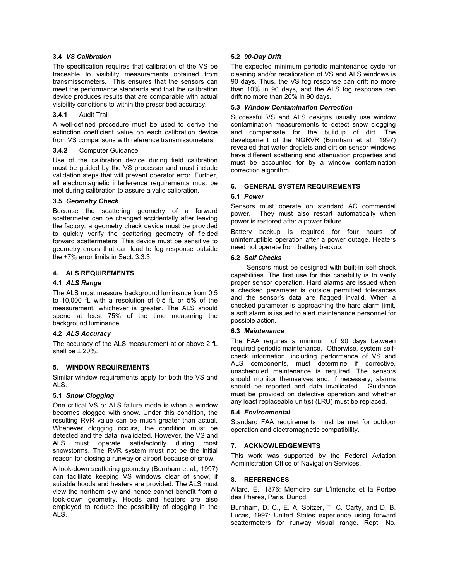# **3.4** *VS Calibration*

The specification requires that calibration of the VS be traceable to visibility measurements obtained from transmissometers. This ensures that the sensors can meet the performance standards and that the calibration device produces results that are comparable with actual visibility conditions to within the prescribed accuracy.

#### **3.4.1**  Audit Trail

A well-defined procedure must be used to derive the extinction coefficient value on each calibration device from VS comparisons with reference transmissometers.

#### **3.4.2**  Computer Guidance

Use of the calibration device during field calibration must be guided by the VS processor and must include validation steps that will prevent operator error. Further, all electromagnetic interference requirements must be met during calibration to assure a valid calibration.

### **3.5** *Geometry Check*

Because the scattering geometry of a forward scattermeter can be changed accidentally after leaving the factory, a geometry check device must be provided to quickly verify the scattering geometry of fielded forward scattermeters. This device must be sensitive to geometry errors that can lead to fog response outside the ±7% error limits in Sect. 3.3.3.

# **4. ALS REQUIREMENTS**

### **4.1** *ALS Range*

The ALS must measure background luminance from 0.5 to 10,000 fL with a resolution of 0.5 fL or 5% of the measurement, whichever is greater. The ALS should spend at least 75% of the time measuring the background luminance.

### **4.2** *ALS Accuracy*

The accuracy of the ALS measurement at or above 2 fL shall be  $\pm 20\%$ .

# **5. WINDOW REQUIREMENTS**

Similar window requirements apply for both the VS and ALS.

### **5.1** *Snow Clogging*

One critical VS or ALS failure mode is when a window becomes clogged with snow. Under this condition, the resulting RVR value can be much greater than actual. Whenever clogging occurs, the condition must be detected and the data invalidated. However, the VS and ALS must operate satisfactorily during most snowstorms. The RVR system must not be the initial reason for closing a runway or airport because of snow.

A look-down scattering geometry (Burnham et al., 1997) can facilitate keeping VS windows clear of snow, if suitable hoods and heaters are provided. The ALS must view the northern sky and hence cannot benefit from a look-down geometry. Hoods and heaters are also employed to reduce the possibility of clogging in the ALS.

# **5.2** *90-Day Drift*

The expected minimum periodic maintenance cycle for cleaning and/or recalibration of VS and ALS windows is 90 days. Thus, the VS fog response can drift no more than 10% in 90 days, and the ALS fog response can drift no more than 20% in 90 days.

## **5.3** *Window Contamination Correction*

Successful VS and ALS designs usually use window contamination measurements to detect snow clogging and compensate for the buildup of dirt. The development of the NGRVR (Burnham et al., 1997) revealed that water droplets and dirt on sensor windows have different scattering and attenuation properties and must be accounted for by a window contamination correction algorithm.

# **6. GENERAL SYSTEM REQUIREMENTS**

# **6.1** *Power*

Sensors must operate on standard AC commercial power. They must also restart automatically when power is restored after a power failure.

Battery backup is required for four hours of uninterruptible operation after a power outage. Heaters need not operate from battery backup.

### **6.2** *Self Checks*

Sensors must be designed with built-in self-check capabilities. The first use for this capability is to verify proper sensor operation. Hard alarms are issued when a checked parameter is outside permitted tolerances and the sensor's data are flagged invalid. When a checked parameter is approaching the hard alarm limit, a soft alarm is issued to alert maintenance personnel for possible action.

### **6.3** *Maintenance*

The FAA requires a minimum of 90 days between required periodic maintenance. Otherwise, system selfcheck information, including performance of VS and ALS components, must determine if corrective, unscheduled maintenance is required. The sensors should monitor themselves and, if necessary, alarms should be reported and data invalidated. Guidance must be provided on defective operation and whether any least replaceable unit(s) (LRU) must be replaced.

### **6.4** *Environmental*

Standard FAA requirements must be met for outdoor operation and electromagnetic compatibility.

### **7. ACKNOWLEDGEMENTS**

This work was supported by the Federal Aviation Administration Office of Navigation Services.

### **8. REFERENCES**

Allard, E., 1876: Memoire sur L'intensite et la Portee des Phares, Paris, Dunod.

Burnham, D. C., E. A. Spitzer, T. C. Carty, and D. B. Lucas, 1997: United States experience using forward scattermeters for runway visual range. Rept. No.